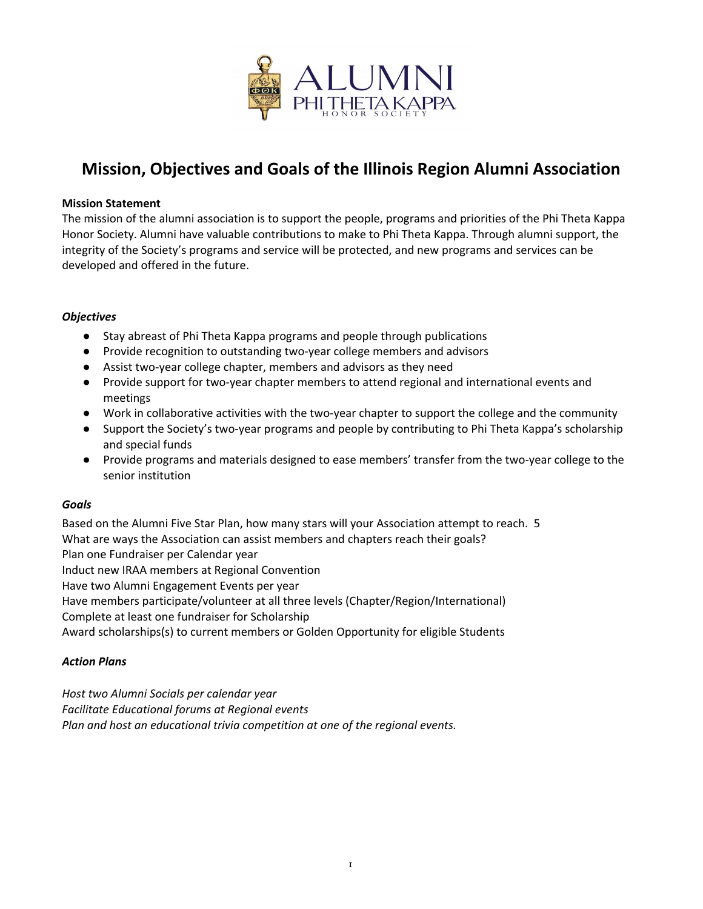

# **Mission, Objectives and Goals of the Illinois Region Alumni Association**

#### **Mission Statement**

The mission of the alumni association is to support the people, programs and priorities of the Phi Theta Kappa Honor Society. Alumni have valuable contributions to make to Phi Theta Kappa. Through alumni support, the integrity of the Society's programs and service will be protected, and new programs and services can be developed and offered in the future.

#### *Objectives*

- Stay abreast of Phi Theta Kappa programs and people through publications
- Provide recognition to outstanding two-year college members and advisors
- Assist two-year college chapter, members and advisors as they need
- Provide support for two-year chapter members to attend regional and international events and meetings
- Work in collaborative activities with the two-year chapter to support the college and the community
- Support the Society's two-year programs and people by contributing to Phi Theta Kappa's scholarship and special funds
- Provide programs and materials designed to ease members' transfer from the two-year college to the senior institution

#### *Goals*

Based on the Alumni Five Star Plan, how many stars will your Association attempt to reach. 5 What are ways the Association can assist members and chapters reach their goals? Plan one Fundraiser per Calendar year Induct new IRAA members at Regional Convention Have two Alumni Engagement Events per year Have members participate/volunteer at all three levels (Chapter/Region/International) Complete at least one fundraiser for Scholarship Award scholarships(s) to current members or Golden Opportunity for eligible Students

#### *Action Plans*

*Host two Alumni Socials per calendar year Facilitate Educational forums at Regional events Plan and host an educational trivia competition at one of the regional events.*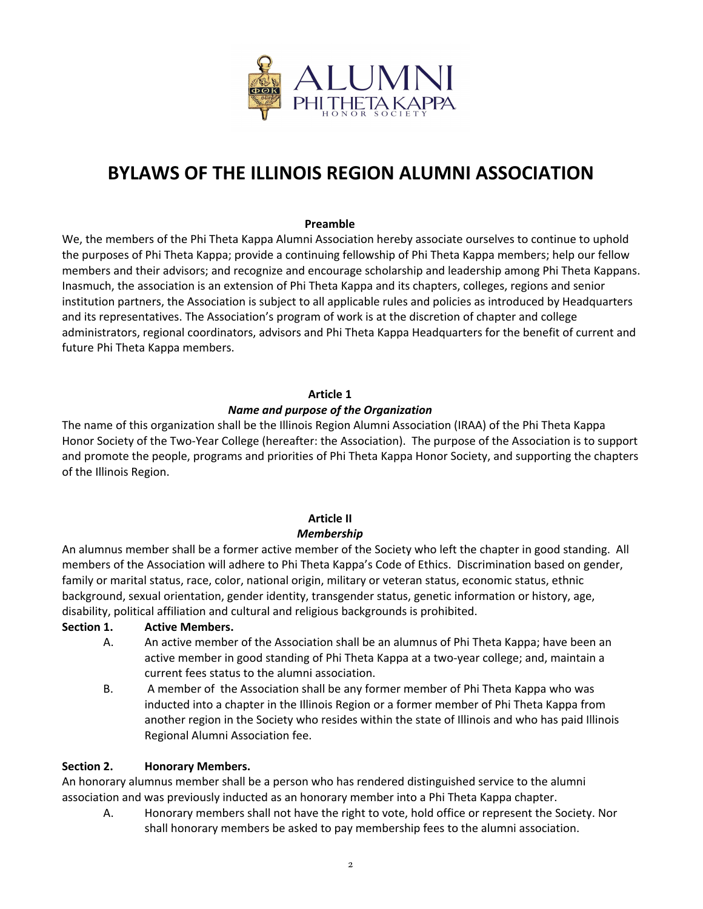

# **BYLAWS OF THE ILLINOIS REGION ALUMNI ASSOCIATION**

#### **Preamble**

We, the members of the Phi Theta Kappa Alumni Association hereby associate ourselves to continue to uphold the purposes of Phi Theta Kappa; provide a continuing fellowship of Phi Theta Kappa members; help our fellow members and their advisors; and recognize and encourage scholarship and leadership among Phi Theta Kappans. Inasmuch, the association is an extension of Phi Theta Kappa and its chapters, colleges, regions and senior institution partners, the Association is subject to all applicable rules and policies as introduced by Headquarters and its representatives. The Association's program of work is at the discretion of chapter and college administrators, regional coordinators, advisors and Phi Theta Kappa Headquarters for the benefit of current and future Phi Theta Kappa members.

#### **Article 1**

#### *Name and purpose of the Organization*

The name of this organization shall be the Illinois Region Alumni Association (IRAA) of the Phi Theta Kappa Honor Society of the Two-Year College (hereafter: the Association). The purpose of the Association is to support and promote the people, programs and priorities of Phi Theta Kappa Honor Society, and supporting the chapters of the Illinois Region.

# **Article II**

#### *Membership*

An alumnus member shall be a former active member of the Society who left the chapter in good standing. All members of the Association will adhere to Phi Theta Kappa's Code of Ethics. Discrimination based on gender, family or marital status, race, color, national origin, military or veteran status, economic status, ethnic background, sexual orientation, gender identity, transgender status, genetic information or history, age, disability, political affiliation and cultural and religious backgrounds is prohibited.

#### **Section 1. Active Members.**

- A. An active member of the Association shall be an alumnus of Phi Theta Kappa; have been an active member in good standing of Phi Theta Kappa at a two-year college; and, maintain a current fees status to the alumni association.
- B. A member of the Association shall be any former member of Phi Theta Kappa who was inducted into a chapter in the Illinois Region or a former member of Phi Theta Kappa from another region in the Society who resides within the state of Illinois and who has paid Illinois Regional Alumni Association fee.

#### **Section 2. Honorary Members.**

An honorary alumnus member shall be a person who has rendered distinguished service to the alumni association and was previously inducted as an honorary member into a Phi Theta Kappa chapter.

A. Honorary members shall not have the right to vote, hold office or represent the Society. Nor shall honorary members be asked to pay membership fees to the alumni association.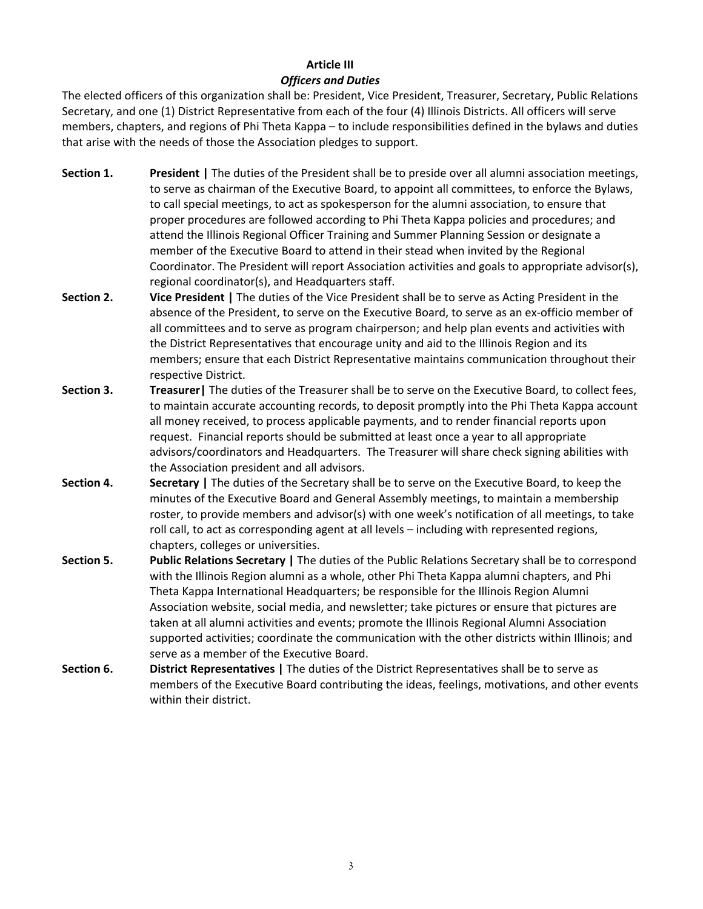# **Article III** *Officers and Duties*

The elected officers of this organization shall be: President, Vice President, Treasurer, Secretary, Public Relations Secretary, and one (1) District Representative from each of the four (4) Illinois Districts. All officers will serve members, chapters, and regions of Phi Theta Kappa – to include responsibilities defined in the bylaws and duties that arise with the needs of those the Association pledges to support.

- **Section 1. President |** The duties of the President shall be to preside over all alumni association meetings, to serve as chairman of the Executive Board, to appoint all committees, to enforce the Bylaws, to call special meetings, to act as spokesperson for the alumni association, to ensure that proper procedures are followed according to Phi Theta Kappa policies and procedures; and attend the Illinois Regional Officer Training and Summer Planning Session or designate a member of the Executive Board to attend in their stead when invited by the Regional Coordinator. The President will report Association activities and goals to appropriate advisor(s), regional coordinator(s), and Headquarters staff.
- **Section 2. Vice President |** The duties of the Vice President shall be to serve as Acting President in the absence of the President, to serve on the Executive Board, to serve as an ex-officio member of all committees and to serve as program chairperson; and help plan events and activities with the District Representatives that encourage unity and aid to the Illinois Region and its members; ensure that each District Representative maintains communication throughout their respective District.
- **Section 3. Treasurer|** The duties of the Treasurer shall be to serve on the Executive Board, to collect fees, to maintain accurate accounting records, to deposit promptly into the Phi Theta Kappa account all money received, to process applicable payments, and to render financial reports upon request. Financial reports should be submitted at least once a year to all appropriate advisors/coordinators and Headquarters. The Treasurer will share check signing abilities with the Association president and all advisors.
- **Section 4. Secretary |** The duties of the Secretary shall be to serve on the Executive Board, to keep the minutes of the Executive Board and General Assembly meetings, to maintain a membership roster, to provide members and advisor(s) with one week's notification of all meetings, to take roll call, to act as corresponding agent at all levels – including with represented regions, chapters, colleges or universities.
- **Section 5. Public Relations Secretary |** The duties of the Public Relations Secretary shall be to correspond with the Illinois Region alumni as a whole, other Phi Theta Kappa alumni chapters, and Phi Theta Kappa International Headquarters; be responsible for the Illinois Region Alumni Association website, social media, and newsletter; take pictures or ensure that pictures are taken at all alumni activities and events; promote the Illinois Regional Alumni Association supported activities; coordinate the communication with the other districts within Illinois; and serve as a member of the Executive Board.
- **Section 6. District Representatives |** The duties of the District Representatives shall be to serve as members of the Executive Board contributing the ideas, feelings, motivations, and other events within their district.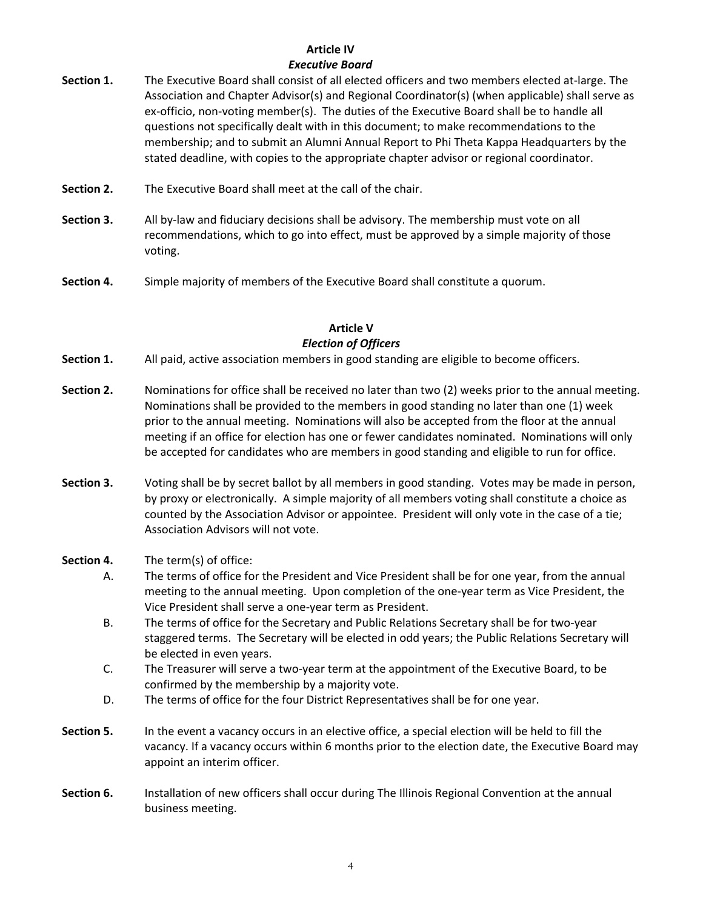#### **Article IV** *Executive Board*

- **Section 1.** The Executive Board shall consist of all elected officers and two members elected at-large. The Association and Chapter Advisor(s) and Regional Coordinator(s) (when applicable) shall serve as ex-officio, non-voting member(s). The duties of the Executive Board shall be to handle all questions not specifically dealt with in this document; to make recommendations to the membership; and to submit an Alumni Annual Report to Phi Theta Kappa Headquarters by the stated deadline, with copies to the appropriate chapter advisor or regional coordinator.
- **Section 2.** The Executive Board shall meet at the call of the chair.
- **Section 3.** All by-law and fiduciary decisions shall be advisory. The membership must vote on all recommendations, which to go into effect, must be approved by a simple majority of those voting.
- **Section 4.** Simple majority of members of the Executive Board shall constitute a quorum.

#### **Article V** *Election of Officers*

- **Section 1.** All paid, active association members in good standing are eligible to become officers.
- **Section 2.** Nominations for office shall be received no later than two (2) weeks prior to the annual meeting. Nominations shall be provided to the members in good standing no later than one (1) week prior to the annual meeting. Nominations will also be accepted from the floor at the annual meeting if an office for election has one or fewer candidates nominated. Nominations will only be accepted for candidates who are members in good standing and eligible to run for office.
- **Section 3.** Voting shall be by secret ballot by all members in good standing. Votes may be made in person, by proxy or electronically. A simple majority of all members voting shall constitute a choice as counted by the Association Advisor or appointee. President will only vote in the case of a tie; Association Advisors will not vote.
- **Section 4.** The term(s) of office:
	- A. The terms of office for the President and Vice President shall be for one year, from the annual meeting to the annual meeting. Upon completion of the one-year term as Vice President, the Vice President shall serve a one-year term as President.
	- B. The terms of office for the Secretary and Public Relations Secretary shall be for two-year staggered terms. The Secretary will be elected in odd years; the Public Relations Secretary will be elected in even years.
	- C. The Treasurer will serve a two-year term at the appointment of the Executive Board, to be confirmed by the membership by a majority vote.
	- D. The terms of office for the four District Representatives shall be for one year.
- **Section 5.** In the event a vacancy occurs in an elective office, a special election will be held to fill the vacancy. If a vacancy occurs within 6 months prior to the election date, the Executive Board may appoint an interim officer.
- **Section 6.** Installation of new officers shall occur during The Illinois Regional Convention at the annual business meeting.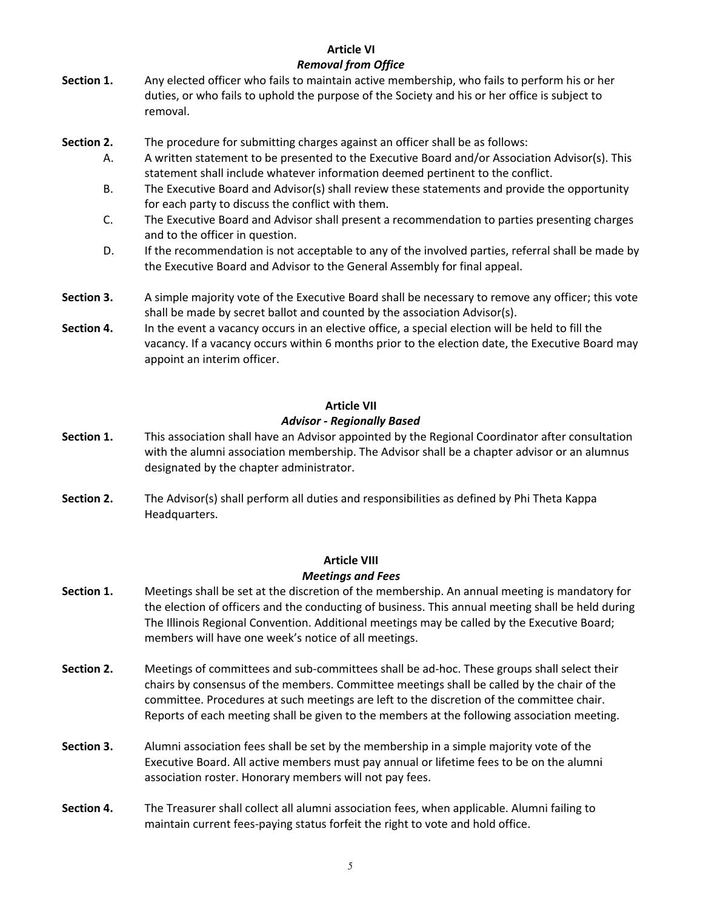#### **Article VI** *Removal from Office*

- **Section 1.** Any elected officer who fails to maintain active membership, who fails to perform his or her duties, or who fails to uphold the purpose of the Society and his or her office is subject to removal.
- **Section 2.** The procedure for submitting charges against an officer shall be as follows:
	- A. A written statement to be presented to the Executive Board and/or Association Advisor(s). This statement shall include whatever information deemed pertinent to the conflict.
	- B. The Executive Board and Advisor(s) shall review these statements and provide the opportunity for each party to discuss the conflict with them.
	- C. The Executive Board and Advisor shall present a recommendation to parties presenting charges and to the officer in question.
	- D. If the recommendation is not acceptable to any of the involved parties, referral shall be made by the Executive Board and Advisor to the General Assembly for final appeal.
- **Section 3.** A simple majority vote of the Executive Board shall be necessary to remove any officer; this vote shall be made by secret ballot and counted by the association Advisor(s).
- **Section 4.** In the event a vacancy occurs in an elective office, a special election will be held to fill the vacancy. If a vacancy occurs within 6 months prior to the election date, the Executive Board may appoint an interim officer.

#### **Article VII**

#### *Advisor - Regionally Based*

- **Section 1.** This association shall have an Advisor appointed by the Regional Coordinator after consultation with the alumni association membership. The Advisor shall be a chapter advisor or an alumnus designated by the chapter administrator.
- **Section 2.** The Advisor(s) shall perform all duties and responsibilities as defined by Phi Theta Kappa Headquarters.

#### **Article VIII** *Meetings and Fees*

- **Section 1.** Meetings shall be set at the discretion of the membership. An annual meeting is mandatory for the election of officers and the conducting of business. This annual meeting shall be held during The Illinois Regional Convention. Additional meetings may be called by the Executive Board; members will have one week's notice of all meetings.
- **Section 2.** Meetings of committees and sub-committees shall be ad-hoc. These groups shall select their chairs by consensus of the members. Committee meetings shall be called by the chair of the committee. Procedures at such meetings are left to the discretion of the committee chair. Reports of each meeting shall be given to the members at the following association meeting.
- **Section 3.** Alumni association fees shall be set by the membership in a simple majority vote of the Executive Board. All active members must pay annual or lifetime fees to be on the alumni association roster. Honorary members will not pay fees.
- **Section 4.** The Treasurer shall collect all alumni association fees, when applicable. Alumni failing to maintain current fees-paying status forfeit the right to vote and hold office.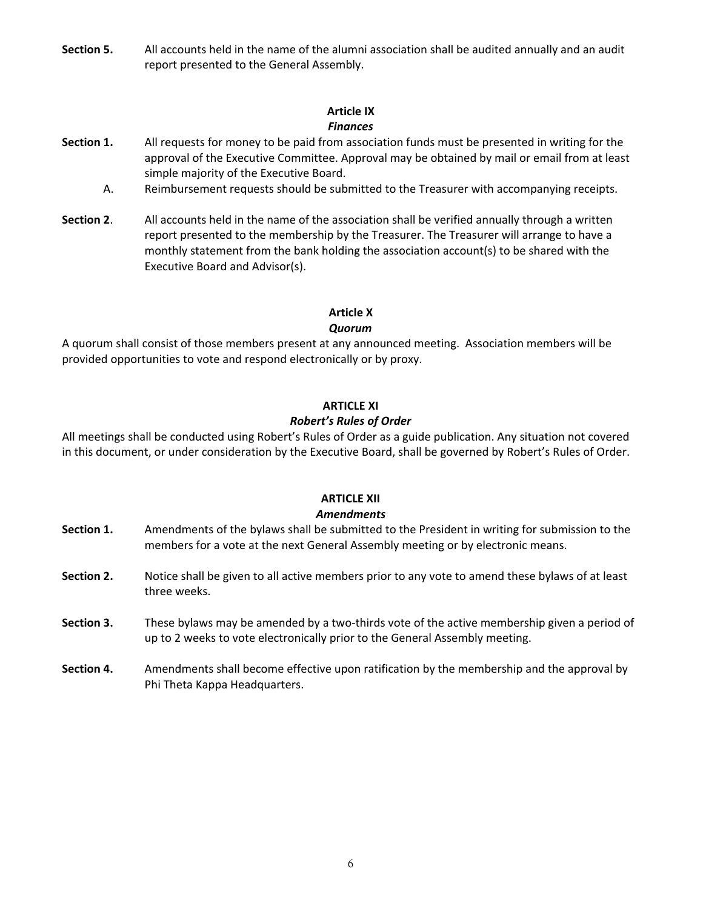**Section 5.** All accounts held in the name of the alumni association shall be audited annually and an audit report presented to the General Assembly.

#### **Article IX** *Finances*

- **Section 1.** All requests for money to be paid from association funds must be presented in writing for the approval of the Executive Committee. Approval may be obtained by mail or email from at least simple majority of the Executive Board.
	- A. Reimbursement requests should be submitted to the Treasurer with accompanying receipts.
- **Section 2**. All accounts held in the name of the association shall be verified annually through a written report presented to the membership by the Treasurer. The Treasurer will arrange to have a monthly statement from the bank holding the association account(s) to be shared with the Executive Board and Advisor(s).

# **Article X**

# *Quorum*

A quorum shall consist of those members present at any announced meeting. Association members will be provided opportunities to vote and respond electronically or by proxy.

#### **ARTICLE XI**

## *Robert's Rules of Order*

All meetings shall be conducted using Robert's Rules of Order as a guide publication. Any situation not covered in this document, or under consideration by the Executive Board, shall be governed by Robert's Rules of Order.

# **ARTICLE XII**

#### *Amendments*

- **Section 1.** Amendments of the bylaws shall be submitted to the President in writing for submission to the members for a vote at the next General Assembly meeting or by electronic means.
- **Section 2.** Notice shall be given to all active members prior to any vote to amend these bylaws of at least three weeks.
- **Section 3.** These bylaws may be amended by a two-thirds vote of the active membership given a period of up to 2 weeks to vote electronically prior to the General Assembly meeting.
- **Section 4.** Amendments shall become effective upon ratification by the membership and the approval by Phi Theta Kappa Headquarters.